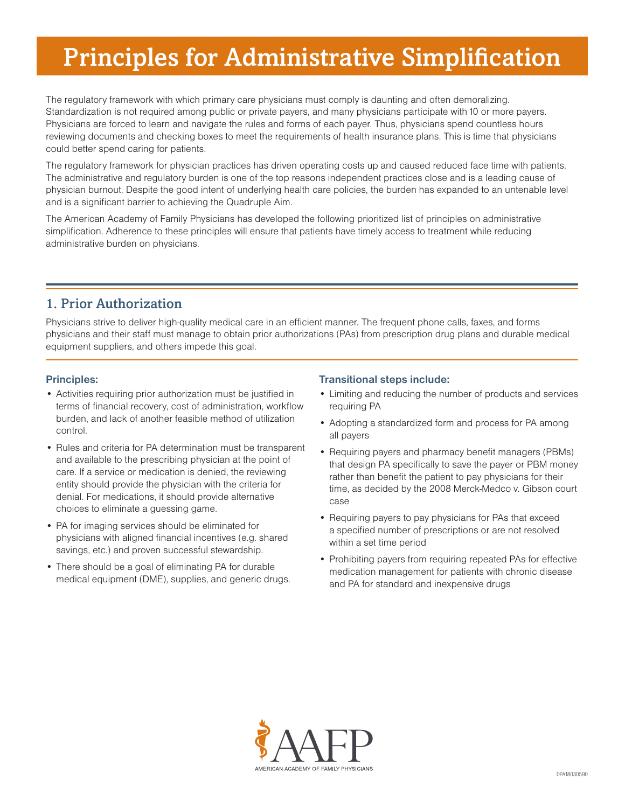# Principles for Administrative Simplification

The regulatory framework with which primary care physicians must comply is daunting and often demoralizing. Standardization is not required among public or private payers, and many physicians participate with 10 or more payers. Physicians are forced to learn and navigate the rules and forms of each payer. Thus, physicians spend countless hours reviewing documents and checking boxes to meet the requirements of health insurance plans. This is time that physicians could better spend caring for patients.

The regulatory framework for physician practices has driven operating costs up and caused reduced face time with patients. The administrative and regulatory burden is one of the top reasons independent practices close and is a leading cause of physician burnout. Despite the good intent of underlying health care policies, the burden has expanded to an untenable level and is a significant barrier to achieving the Quadruple Aim.

The American Academy of Family Physicians has developed the following prioritized list of principles on administrative simplification. Adherence to these principles will ensure that patients have timely access to treatment while reducing administrative burden on physicians.

## 1. Prior Authorization

Physicians strive to deliver high-quality medical care in an efficient manner. The frequent phone calls, faxes, and forms physicians and their staff must manage to obtain prior authorizations (PAs) from prescription drug plans and durable medical equipment suppliers, and others impede this goal.

## **Principles:**

- Activities requiring prior authorization must be justified in terms of financial recovery, cost of administration, workflow burden, and lack of another feasible method of utilization control.
- Rules and criteria for PA determination must be transparent and available to the prescribing physician at the point of care. If a service or medication is denied, the reviewing entity should provide the physician with the criteria for denial. For medications, it should provide alternative choices to eliminate a guessing game.
- PA for imaging services should be eliminated for physicians with aligned financial incentives (e.g. shared savings, etc.) and proven successful stewardship.
- There should be a goal of eliminating PA for durable medical equipment (DME), supplies, and generic drugs.

## **Transitional steps include:**

- Limiting and reducing the number of products and services requiring PA
- Adopting a standardized form and process for PA among all payers
- Requiring payers and pharmacy benefit managers (PBMs) that design PA specifically to save the payer or PBM money rather than benefit the patient to pay physicians for their time, as decided by the 2008 Merck-Medco v. Gibson court case
- Requiring payers to pay physicians for PAs that exceed a specified number of prescriptions or are not resolved within a set time period
- Prohibiting payers from requiring repeated PAs for effective medication management for patients with chronic disease and PA for standard and inexpensive drugs

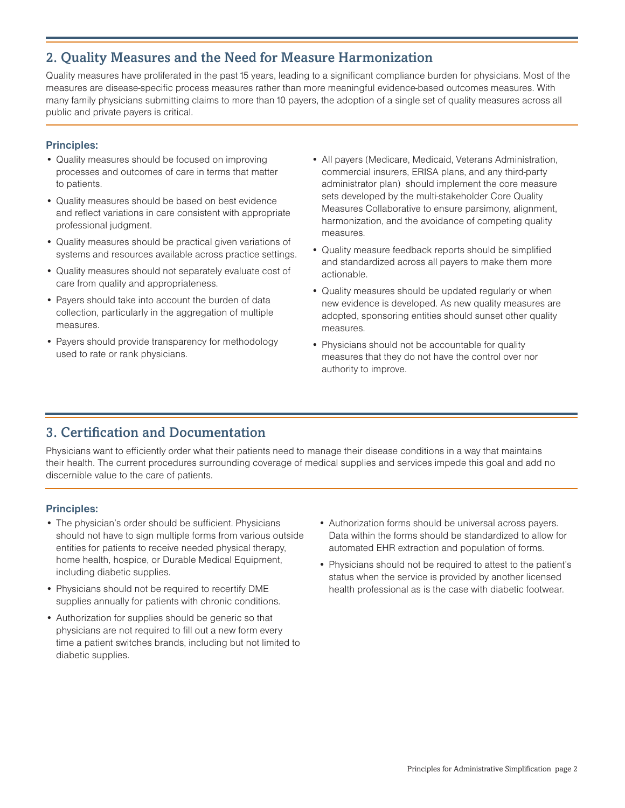## 2. Quality Measures and the Need for Measure Harmonization

Quality measures have proliferated in the past 15 years, leading to a significant compliance burden for physicians. Most of the measures are disease-specific process measures rather than more meaningful evidence-based outcomes measures. With many family physicians submitting claims to more than 10 payers, the adoption of a single set of quality measures across all public and private payers is critical.

#### **Principles:**

- Quality measures should be focused on improving processes and outcomes of care in terms that matter to patients.
- Quality measures should be based on best evidence and reflect variations in care consistent with appropriate professional judgment.
- Quality measures should be practical given variations of systems and resources available across practice settings.
- Quality measures should not separately evaluate cost of care from quality and appropriateness.
- Payers should take into account the burden of data collection, particularly in the aggregation of multiple measures.
- Payers should provide transparency for methodology used to rate or rank physicians.
- All payers (Medicare, Medicaid, Veterans Administration, commercial insurers, ERISA plans, and any third-party administrator plan) should implement the core measure sets developed by the multi-stakeholder Core Quality Measures Collaborative to ensure parsimony, alignment, harmonization, and the avoidance of competing quality measures.
- Quality measure feedback reports should be simplified and standardized across all payers to make them more actionable.
- Quality measures should be updated regularly or when new evidence is developed. As new quality measures are adopted, sponsoring entities should sunset other quality measures.
- Physicians should not be accountable for quality measures that they do not have the control over nor authority to improve.

# 3. Certification and Documentation

Physicians want to efficiently order what their patients need to manage their disease conditions in a way that maintains their health. The current procedures surrounding coverage of medical supplies and services impede this goal and add no discernible value to the care of patients.

#### **Principles:**

- The physician's order should be sufficient. Physicians should not have to sign multiple forms from various outside entities for patients to receive needed physical therapy, home health, hospice, or Durable Medical Equipment, including diabetic supplies.
- Physicians should not be required to recertify DME supplies annually for patients with chronic conditions.
- Authorization for supplies should be generic so that physicians are not required to fill out a new form every time a patient switches brands, including but not limited to diabetic supplies.
- Authorization forms should be universal across payers. Data within the forms should be standardized to allow for automated EHR extraction and population of forms.
- Physicians should not be required to attest to the patient's status when the service is provided by another licensed health professional as is the case with diabetic footwear.